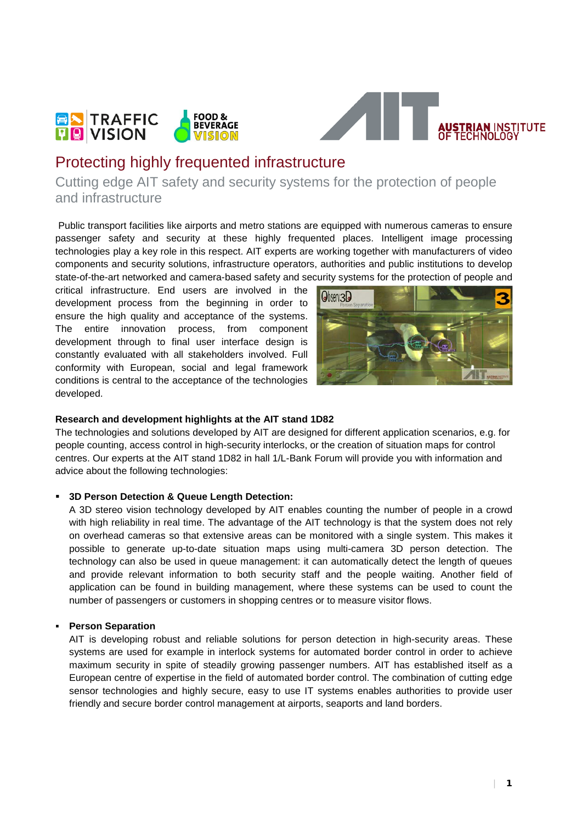



# Protecting highly frequented infrastructure

Cutting edge AIT safety and security systems for the protection of people and infrastructure

Public transport facilities like airports and metro stations are equipped with numerous cameras to ensure passenger safety and security at these highly frequented places. Intelligent image processing technologies play a key role in this respect. AIT experts are working together with manufacturers of video components and security solutions, infrastructure operators, authorities and public institutions to develop state-of-the-art networked and camera-based safety and security systems for the protection of people and

critical infrastructure. End users are involved in the development process from the beginning in order to ensure the high quality and acceptance of the systems. The entire innovation process, from component development through to final user interface design is constantly evaluated with all stakeholders involved. Full conformity with European, social and legal framework conditions is central to the acceptance of the technologies developed.



#### **Research and development highlights at the AIT stand 1D82**

The technologies and solutions developed by AIT are designed for different application scenarios, e.g. for people counting, access control in high-security interlocks, or the creation of situation maps for control centres. Our experts at the AIT stand 1D82 in hall 1/L-Bank Forum will provide you with information and advice about the following technologies:

#### **3D Person Detection & Queue Length Detection:**

A 3D stereo vision technology developed by AIT enables counting the number of people in a crowd with high reliability in real time. The advantage of the AIT technology is that the system does not rely on overhead cameras so that extensive areas can be monitored with a single system. This makes it possible to generate up-to-date situation maps using multi-camera 3D person detection. The technology can also be used in queue management: it can automatically detect the length of queues and provide relevant information to both security staff and the people waiting. Another field of application can be found in building management, where these systems can be used to count the number of passengers or customers in shopping centres or to measure visitor flows.

### **Person Separation**

AIT is developing robust and reliable solutions for person detection in high-security areas. These systems are used for example in interlock systems for automated border control in order to achieve maximum security in spite of steadily growing passenger numbers. AIT has established itself as a European centre of expertise in the field of automated border control. The combination of cutting edge sensor technologies and highly secure, easy to use IT systems enables authorities to provide user friendly and secure border control management at airports, seaports and land borders.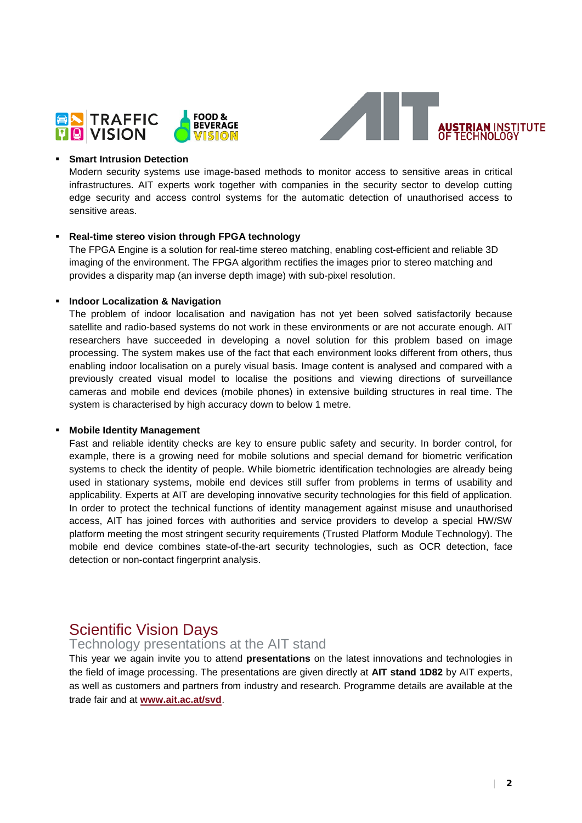



#### **Smart Intrusion Detection**

Modern security systems use image-based methods to monitor access to sensitive areas in critical infrastructures. AIT experts work together with companies in the security sector to develop cutting edge security and access control systems for the automatic detection of unauthorised access to sensitive areas.

#### **Real-time stereo vision through FPGA technology**

The FPGA Engine is a solution for real-time stereo matching, enabling cost-efficient and reliable 3D imaging of the environment. The FPGA algorithm rectifies the images prior to stereo matching and provides a disparity map (an inverse depth image) with sub-pixel resolution.

#### **Indoor Localization & Navigation**

The problem of indoor localisation and navigation has not yet been solved satisfactorily because satellite and radio-based systems do not work in these environments or are not accurate enough. AIT researchers have succeeded in developing a novel solution for this problem based on image processing. The system makes use of the fact that each environment looks different from others, thus enabling indoor localisation on a purely visual basis. Image content is analysed and compared with a previously created visual model to localise the positions and viewing directions of surveillance cameras and mobile end devices (mobile phones) in extensive building structures in real time. The system is characterised by high accuracy down to below 1 metre.

#### **Mobile Identity Management**

Fast and reliable identity checks are key to ensure public safety and security. In border control, for example, there is a growing need for mobile solutions and special demand for biometric verification systems to check the identity of people. While biometric identification technologies are already being used in stationary systems, mobile end devices still suffer from problems in terms of usability and applicability. Experts at AIT are developing innovative security technologies for this field of application. In order to protect the technical functions of identity management against misuse and unauthorised access, AIT has joined forces with authorities and service providers to develop a special HW/SW platform meeting the most stringent security requirements (Trusted Platform Module Technology). The mobile end device combines state-of-the-art security technologies, such as OCR detection, face detection or non-contact fingerprint analysis.

# Scientific Vision Days

## Technology presentations at the AIT stand

This year we again invite you to attend **presentations** on the latest innovations and technologies in the field of image processing. The presentations are given directly at **AIT stand 1D82** by AIT experts, as well as customers and partners from industry and research. Programme details are available at the trade fair and at **[www.ait.ac.at/svd](http://www.ait.ac.at/svd)**.